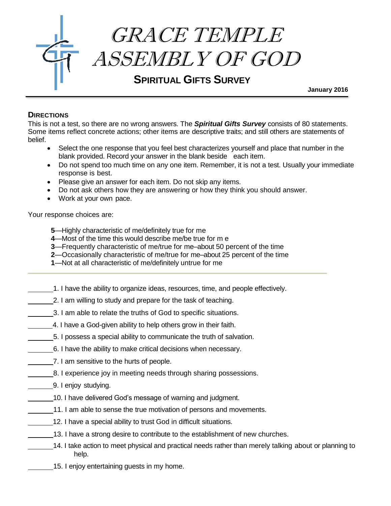

 **January 2016**

## **DIRECTIONS**

This is not a test, so there are no wrong answers. The *Spiritual Gifts Survey* consists of 80 statements. Some items reflect concrete actions; other items are descriptive traits; and still others are statements of belief.

- Select the one response that you feel best characterizes yourself and place that number in the blank provided. Record your answer in the blank beside each item.
- Do not spend too much time on any one item. Remember, it is not a test. Usually your immediate response is best.
- Please give an answer for each item. Do not skip any items.
- Do not ask others how they are answering or how they think you should answer.
- Work at your own pace.

Your response choices are:

- **5**—Highly characteristic of me/definitely true for me
- **4**—Most of the time this would describe me/be true for m e
- **3**—Frequently characteristic of me/true for me–about 50 percent of the time
- **2**—Occasionally characteristic of me/true for me–about 25 percent of the time
- **1**—Not at all characteristic of me/definitely untrue for me
- 1. I have the ability to organize ideas, resources, time, and people effectively.
- 2. I am willing to study and prepare for the task of teaching.
- 3. I am able to relate the truths of God to specific situations.
- 4. I have a God-given ability to help others grow in their faith.
- 5. I possess a special ability to communicate the truth of salvation.
- 6. I have the ability to make critical decisions when necessary.
- **7.** I am sensitive to the hurts of people.
- 8. I experience joy in meeting needs through sharing possessions.
- 9. I enjoy studying.
	- 10. I have delivered God's message of warning and judgment.
- 11. I am able to sense the true motivation of persons and movements.
- 12. I have a special ability to trust God in difficult situations.
- 13. I have a strong desire to contribute to the establishment of new churches.
- 14. I take action to meet physical and practical needs rather than merely talking about or planning to help.
	- 15. I enjoy entertaining guests in my home.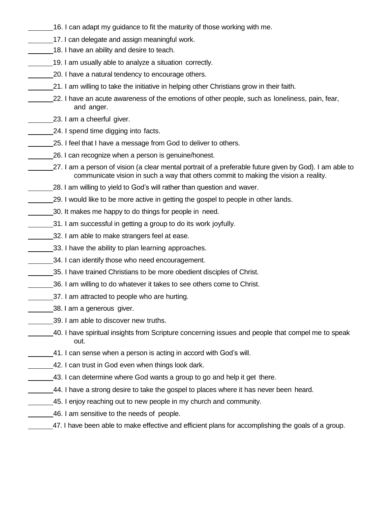- 16. I can adapt my guidance to fit the maturity of those working with me.
- 17. I can delegate and assign meaningful work.
- 18. I have an ability and desire to teach.
- 19. I am usually able to analyze a situation correctly.
- 20. I have a natural tendency to encourage others.
- 21. I am willing to take the initiative in helping other Christians grow in their faith.
- 22. I have an acute awareness of the emotions of other people, such as loneliness, pain, fear, and anger.
- 23. I am a cheerful giver.
- 24. I spend time digging into facts.
- 25. I feel that I have a message from God to deliver to others.
	- 26. I can recognize when a person is genuine/honest.
- 27. I am a person of vision (a clear mental portrait of a preferable future given by God). I am able to communicate vision in such a way that others commit to making the vision a reality.
- 28. I am willing to yield to God's will rather than question and waver.
- 29. I would like to be more active in getting the gospel to people in other lands.
- 30. It makes me happy to do things for people in need.
- 1. I am successful in getting a group to do its work joyfully.
- 32. I am able to make strangers feel at ease.
- 33. I have the ability to plan learning approaches.
- 34. I can identify those who need encouragement.
- 35. I have trained Christians to be more obedient disciples of Christ.
- 36. I am willing to do whatever it takes to see others come to Christ.
- 37. I am attracted to people who are hurting.
- 38. I am a generous giver.
- 39. I am able to discover new truths.
- 40. I have spiritual insights from Scripture concerning issues and people that compel me to speak out.
- 41. I can sense when a person is acting in accord with God's will.
- 42. I can trust in God even when things look dark.
- 13. I can determine where God wants a group to go and help it get there.
- 44. I have a strong desire to take the gospel to places where it has never been heard.
- 45. I enjoy reaching out to new people in my church and community.
- 46. I am sensitive to the needs of people.
	- 47. I have been able to make effective and efficient plans for accomplishing the goals of a group.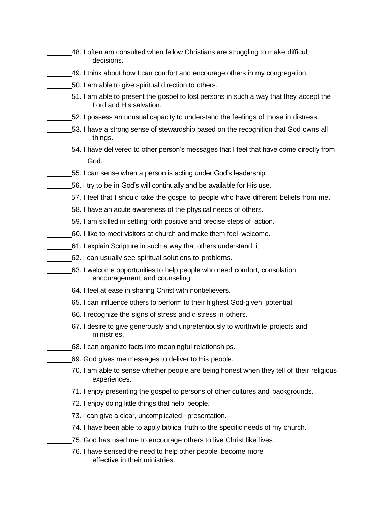- 48. I often am consulted when fellow Christians are struggling to make difficult decisions.
- 49. I think about how I can comfort and encourage others in my congregation.
- 50. I am able to give spiritual direction to others.
	- 51. I am able to present the gospel to lost persons in such a way that they accept the Lord and His salvation.
- 52. I possess an unusual capacity to understand the feelings of those in distress.
	- 53. I have a strong sense of stewardship based on the recognition that God owns all things.
	- 54. I have delivered to other person's messages that I feel that have come directly from God.
- 55. I can sense when a person is acting under God's leadership.
- 56. I try to be in God's will continually and be available for His use.
- 57. I feel that I should take the gospel to people who have different beliefs from me.
- 58. I have an acute awareness of the physical needs of others.
- 59. I am skilled in setting forth positive and precise steps of action.
- 60. I like to meet visitors at church and make them feel welcome.
- 61. I explain Scripture in such a way that others understand it.
- 62. I can usually see spiritual solutions to problems.
- 63. I welcome opportunities to help people who need comfort, consolation, encouragement, and counseling.
- 64. I feel at ease in sharing Christ with nonbelievers.
	- 65. I can influence others to perform to their highest God-given potential.
- 66. I recognize the signs of stress and distress in others.
- 67. I desire to give generously and unpretentiously to worthwhile projects and ministries.
- 68. I can organize facts into meaningful relationships.
- 69. God gives me messages to deliver to His people.
- 70. I am able to sense whether people are being honest when they tell of their religious experiences.
- 71. I enjoy presenting the gospel to persons of other cultures and backgrounds.
- 72. I enjoy doing little things that help people.
- 73. I can give a clear, uncomplicated presentation.
	- 74. I have been able to apply biblical truth to the specific needs of my church.
	- 75. God has used me to encourage others to live Christ like lives.
	- 76. I have sensed the need to help other people become more effective in their ministries.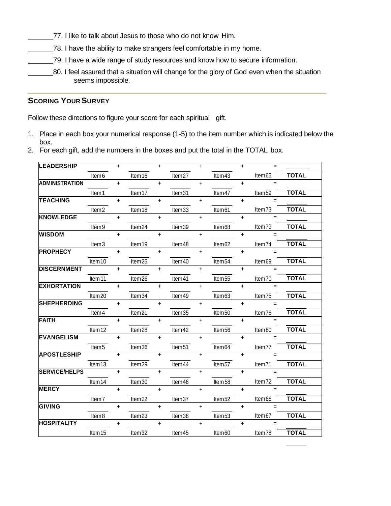- 77. I like to talk about Jesus to those who do not know Him.
- T8. I have the ability to make strangers feel comfortable in my home.
- 79. I have a wide range of study resources and know how to secure information.
- 80. I feel assured that a situation will change for the glory of God even when the situation seems impossible.

## **SCORING YOUR SURVEY**

Follow these directions to figure your score for each spiritual gift.

- 1. Place in each box your numerical response (1-5) to the item number which is indicated below the box.
- 2. For each gift, add the numbers in the boxes and put the total in the TOTAL box.

| <b>LEADERSHIP</b>     |                             | $\ddot{}$  |                    | $\ddot{}$ |                    | $\ddot{}$  |                    | $\ddot{}$  | $=$      |              |
|-----------------------|-----------------------------|------------|--------------------|-----------|--------------------|------------|--------------------|------------|----------|--------------|
|                       | Item <sub>6</sub>           |            | Item16             |           | Item27             |            | Item43             |            | Item65   | <b>TOTAL</b> |
| <b>ADMINISTRATION</b> |                             | $\ddot{}$  |                    | $\ddot{}$ |                    | $+$        |                    | $\ddot{}$  | $=$      |              |
|                       | Item 1                      |            | Item <sub>17</sub> |           | Item31             |            | Item47             |            | Item59   | <b>TOTAL</b> |
| <b>TEACHING</b>       |                             | $\ddagger$ |                    | $\ddot{}$ |                    | $\ddot{}$  |                    | $\ddot{}$  | $=$      |              |
|                       | Item <sub>2</sub>           |            | Item <sub>18</sub> |           | Item33             |            | Item61             |            | Item73   | <b>TOTAL</b> |
| <b>KNOWLEDGE</b>      |                             | $\ddagger$ |                    | $\ddot{}$ |                    | $\ddot{}$  |                    | $\ddagger$ | $=$      |              |
|                       | Item <sub>9</sub>           |            | Item24             |           | Item39             |            | Item68             |            | Item79   | <b>TOTAL</b> |
| <b>WISDOM</b>         |                             | $\ddot{}$  |                    | $\ddot{}$ |                    | $\ddot{}$  |                    | $\ddot{}$  | $=$      |              |
|                       | Item <sub>3</sub>           |            | Item19             |           | Item48             |            | Item62             |            | Item74   | <b>TOTAL</b> |
| <b>PROPHECY</b>       |                             | $\ddot{+}$ |                    | $\ddot{}$ |                    | $\ddot{}$  |                    | $\ddot{}$  | $=$      |              |
|                       | Item10                      |            | Item25             |           | Item40             |            | Item <sub>54</sub> |            | Item69   | <b>TOTAL</b> |
| <b>DISCERNMENT</b>    |                             | $+$        |                    | $\ddot{}$ |                    | $+$        |                    | $+$        | $=$      |              |
|                       | $\overline{\text{Item}}$ 11 |            | Item26             |           | Item41             |            | Item55             |            | Item70   | <b>TOTAL</b> |
| <b>EXHORTATION</b>    |                             | $\ddot{}$  |                    | $\ddot{}$ |                    | $\ddot{}$  |                    | $\ddot{}$  | $=$      |              |
|                       | Item20                      |            | Item34             |           | Item49             |            | Item63             |            | Item75   | <b>TOTAL</b> |
| <b>SHEPHERDING</b>    |                             | $\ddot{+}$ |                    | $\ddot{}$ |                    | $\ddot{+}$ |                    | $+$        | $=$      |              |
|                       | ltem 4                      |            | Item21             |           | Item35             |            | Item50             |            | Item76   | <b>TOTAL</b> |
| <b>FAITH</b>          |                             | $\ddot{}$  |                    | $\ddot{}$ |                    | $\ddot{}$  |                    | $\ddagger$ | $=$      |              |
|                       | Item12                      |            | Item28             |           | Item 42            |            | Item56             |            | Item80   | <b>TOTAL</b> |
| <b>EVANGELISM</b>     |                             | $\ddot{}$  |                    | $\ddot{}$ |                    | $\ddot{}$  |                    | $\ddot{}$  | $=$      |              |
|                       | Item <sub>5</sub>           |            | Item36             |           | Item <sub>51</sub> |            | Item64             |            | Item77   | <b>TOTAL</b> |
| <b>APOSTLESHIP</b>    |                             | $\ddot{}$  |                    | $\ddot{}$ |                    | $\ddot{}$  |                    | $\ddot{}$  | $=$      |              |
|                       | Item13                      |            | Item29             |           | Item44             |            | Item57             |            | Item71   | <b>TOTAL</b> |
| <b>SERVICE/HELPS</b>  |                             | $\ddot{}$  |                    | $\ddot{}$ |                    | $\ddot{}$  |                    | $+$        | $\equiv$ |              |
|                       | Item14                      |            | Item30             |           | Item46             |            | Item <sub>58</sub> |            | Item72   | <b>TOTAL</b> |
| <b>MERCY</b>          |                             | $\ddot{}$  |                    | $\ddot{}$ |                    | $\ddot{}$  |                    | $\ddot{}$  | $\equiv$ |              |
|                       | Item <sub>7</sub>           |            | Item22             |           | Item37             |            | Item <sub>52</sub> |            | Item66   | <b>TOTAL</b> |
| <b>GIVING</b>         |                             | $\ddot{}$  |                    | $\ddot{}$ |                    | $+$        |                    | $\ddot{}$  | $=$      |              |
|                       | Item <sub>8</sub>           |            | Item23             |           | Item38             |            | Item <sub>53</sub> |            | Item67   | <b>TOTAL</b> |
| <b>HOSPITALITY</b>    |                             | $\ddot{}$  |                    | $\ddot{}$ |                    | $+$        |                    | $\ddot{}$  | $\equiv$ |              |
|                       | Item15                      |            | Item32             |           | Item45             |            | Item60             |            | Item78   | <b>TOTAL</b> |